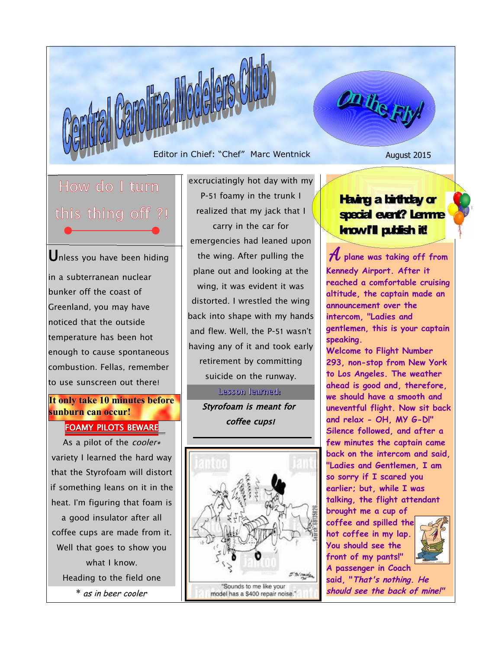Editor in Chief: "Chef" Marc Wentnick August 2015

How do I turn this thing off ?!

Unless you have been hiding in a subterranean nuclear bunker off the coast of Greenland, you may have noticed that the outside temperature has been hot enough to cause spontaneous combustion. Fellas, remember to use sunscreen out there!

**It only take 10 minutes before sunburn can occur!**

# FOAMY PILOTS BEWARE

As a pilot of the cooler\* variety I learned the hard way that the Styrofoam will distort if something leans on it in the heat. I'm figuring that foam is a good insulator after all coffee cups are made from it. Well that goes to show you what I know. Heading to the field one \* as in beer cooler

excruciatingly hot day with my P-51 foamy in the trunk I realized that my jack that I carry in the car for emergencies had leaned upon the wing. After pulling the plane out and looking at the wing, it was evident it was distorted. I wrestled the wing back into shape with my hands and flew. Well, the P-51 wasn't having any of it and took early retirement by committing suicide on the runway.

# Lesson learned:

Styrofoam is meant for coffee cups!



### Having a birthday or special event? Lemme know **I'll publish it!**

On the Fig

 A **plane was taking off from Kennedy Airport. After it reached a comfortable cruising altitude, the captain made an announcement over the intercom, "Ladies and gentlemen, this is your captain speaking.** 

**Welcome to Flight Number 293, non-stop from New York to Los Angeles. The weather ahead is good and, therefore, we should have a smooth and uneventful flight. Now sit back and relax - OH, MY G-D!" Silence followed, and after a few minutes the captain came back on the intercom and said, "Ladies and Gentlemen, I am so sorry if I scared you earlier; but, while I was talking, the flight attendant brought me a cup of**

**coffee and spilled the hot coffee in my lap. You should see the front of my pants!" A passenger in Coach**



**said, "That's nothing. He should see the back of mine!"**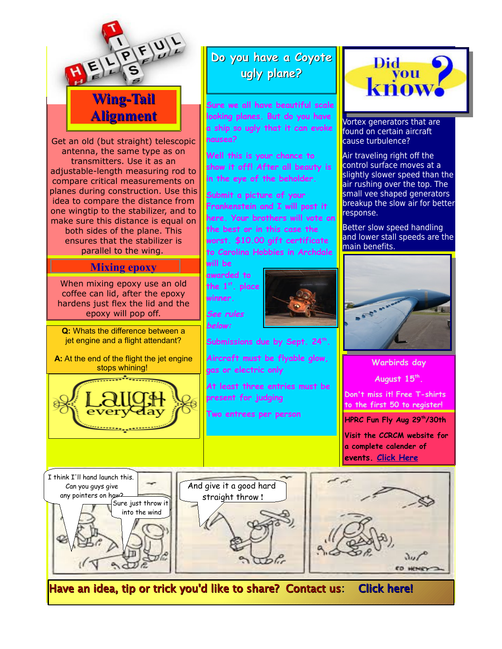







Have an idea, tip or trick you'd like to share? Contact us: [Click here!](mailto:www.ebida3@yahoo.com)



Vortex generators that are found on certain aircraft cause turbulence?

Air traveling right off the control surface moves at a slightly slower speed than the air rushing over the top. The small vee shaped generators breakup the slow air for better response.

Better slow speed handling and lower stall speeds are the main benefits.



**Warbirds day August 15th . Don't miss it! Free T-shirts to the first 50 to register! HPRC Fun Fly Aug 29th/30th**

**Visit the CCRCM website for a complete calender of events. [Click Here](http://www.ccrcm.com/)**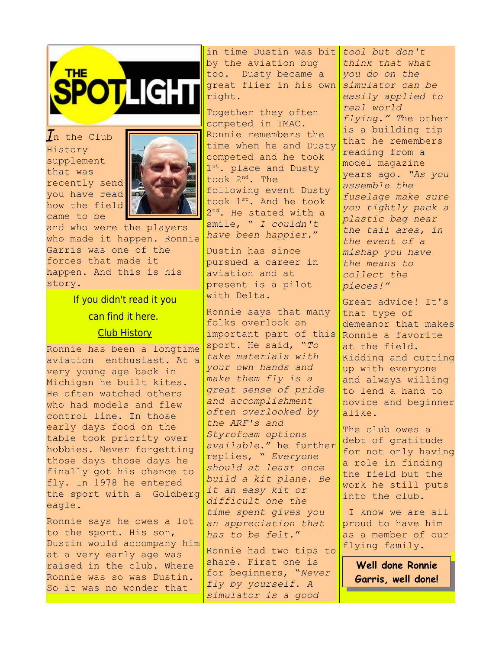

 $\bm{l}$ n the Club History supplement that was recently send you have read how the field came to be



and who were the players who made it happen. Ronnie Garris was one of the forces that made it happen. And this is his story.

> If you didn't read it you can find it here.

#### [Club History](http://www.ccrcm.com/)

Ronnie has been a longtime aviation enthusiast. At a very young age back in Michigan he built kites. He often watched others who had models and flew control line. In those early days food on the table took priority over hobbies. Never forgetting those days those days he finally got his chance to fly. In 1978 he entered the sport with a Goldberg eagle.

Ronnie says he owes a lot to the sport. His son, Dustin would accompany him at a very early age was raised in the club. Where Ronnie was so was Dustin. So it was no wonder that

in time Dustin was bit *tool but don't*  by the aviation bug too. Dusty became a great flier in his own right.

Together they often competed in IMAC. Ronnie remembers the time when he and Dusty competed and he took 1 st. place and Dusty took 2nd. The following event Dusty took 1st. And he took 2<sup>nd</sup>. He stated with a smile, " *I couldn't have been happier.*"

Dustin has since pursued a career in aviation and at present is a pilot with Delta.

Ronnie says that many folks overlook an important part of this sport. He said, "*To take materials with your own hands and make them fly is a great sense of pride and accomplishment often overlooked by the ARF's and Styrofoam options available*." he further replies, " *Everyone should at least once build a kit plane. Be it an easy kit or difficult one the time spent gives you an appreciation that has to be felt*."

Ronnie had two tips to share. First one is for beginners, "*Never fly by yourself. A simulator is a good* 

*think that what you do on the simulator can be easily applied to real world flying." T*he other is a building tip that he remembers reading from a model magazine years ago*. "As you assemble the fuselage make sure you tightly pack a plastic bag near the tail area, in the event of a mishap you have the means to collect the pieces!"* 

Great advice! It's that type of demeanor that makes Ronnie a favorite at the field. Kidding and cutting up with everyone and always willing to lend a hand to novice and beginner alike.

The club owes a debt of gratitude for not only having a role in finding the field but the work he still puts into the club.

 I know we are all proud to have him as a member of our flying family.

> **Well done Ronnie Garris, well done!**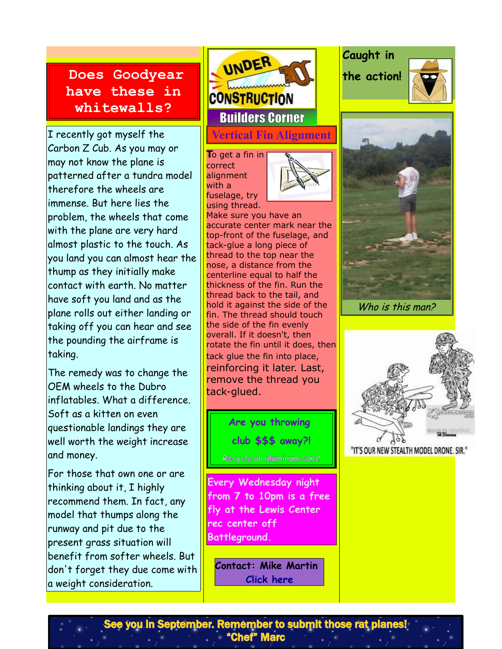# **Does Goodyear have these in whitewalls?**

I recently got myself the Carbon Z Cub. As you may or may not know the plane is patterned after a tundra model therefore the wheels are immense. But here lies the problem, the wheels that come with the plane are very hard almost plastic to the touch. As you land you can almost hear the thump as they initially make contact with earth. No matter have soft you land and as the plane rolls out either landing or taking off you can hear and see the pounding the airframe is taking.

The remedy was to change the OEM wheels to the Dubro inflatables. What a difference. Soft as a kitten on even questionable landings they are well worth the weight increase and money.

For those that own one or are thinking about it, I highly recommend them. In fact, any model that thumps along the runway and pit due to the present grass situation will benefit from softer wheels. But don't forget they due come with a weight consideration.

UNDER **CONSTRUCTION** Builders Corner **Vertical Fin Alignment**

**T**o get a fin in correct alignment with a fuselage, try using thread.



Make sure you have an accurate center mark near the top-front of the fuselage, and tack-glue a long piece of thread to the top near the nose, a distance from the centerline equal to half the thickness of the fin. Run the thread back to the tail, and hold it against the side of the fin. The thread should touch the side of the fin evenly overall. If it doesn't, then rotate the fin until it does, then tack glue the fin into place, reinforcing it later. Last, remove the thread you tack-glued.

> **Are you throwing club \$\$\$ away?!** Recycle all aluminum cans!

**Every Wednesday night from 7 to 10pm is a free fly at the Lewis Center rec center off Battleground.**

**Contact: Mike Martin [Click here](mailto:www.mmartin84@earthlink.net)**

**Caught in the action!**





Who is this man?



"IT'S OUR NEW STEALTH MODEL DRONE, SIR."

See you in September. Remember to submit those rat planes! "Chef" Marc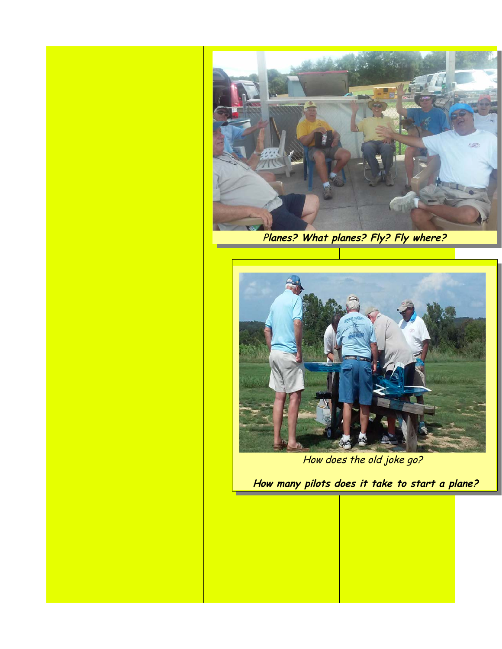

P**lanes? What planes? Fly? Fly where?**



How does the old joke go?

**How many pilots does it take to start a plane?**